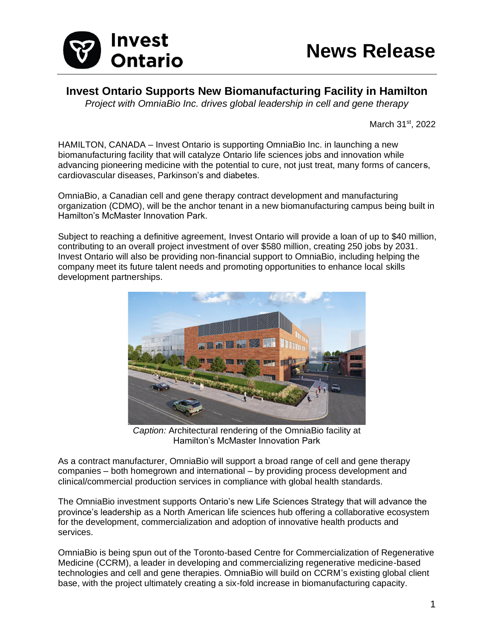

## **Invest Ontario Supports New Biomanufacturing Facility in Hamilton**

*Project with OmniaBio Inc. drives global leadership in cell and gene therapy*

March 31st, 2022

HAMILTON, CANADA – Invest Ontario is supporting OmniaBio Inc. in launching a new biomanufacturing facility that will catalyze Ontario life sciences jobs and innovation while advancing pioneering medicine with the potential to cure, not just treat, many forms of cancers, cardiovascular diseases, Parkinson's and diabetes.

OmniaBio, a Canadian cell and gene therapy contract development and manufacturing organization (CDMO), will be the anchor tenant in a new biomanufacturing campus being built in Hamilton's McMaster Innovation Park.

Subject to reaching a definitive agreement, Invest Ontario will provide a loan of up to \$40 million, contributing to an overall project investment of over \$580 million, creating 250 jobs by 2031. Invest Ontario will also be providing non-financial support to OmniaBio, including helping the company meet its future talent needs and promoting opportunities to enhance local skills development partnerships.



*Caption:* Architectural rendering of the OmniaBio facility at Hamilton's McMaster Innovation Park

As a contract manufacturer, OmniaBio will support a broad range of cell and gene therapy companies – both homegrown and international – by providing process development and clinical/commercial production services in compliance with global health standards.

The OmniaBio investment supports Ontario's new Life Sciences Strategy that will advance the province's leadership as a North American life sciences hub offering a collaborative ecosystem for the development, commercialization and adoption of innovative health products and services.

OmniaBio is being spun out of the Toronto-based Centre for Commercialization of Regenerative Medicine (CCRM), a leader in developing and commercializing regenerative medicine-based technologies and cell and gene therapies. OmniaBio will build on CCRM's existing global client base, with the project ultimately creating a six-fold increase in biomanufacturing capacity.